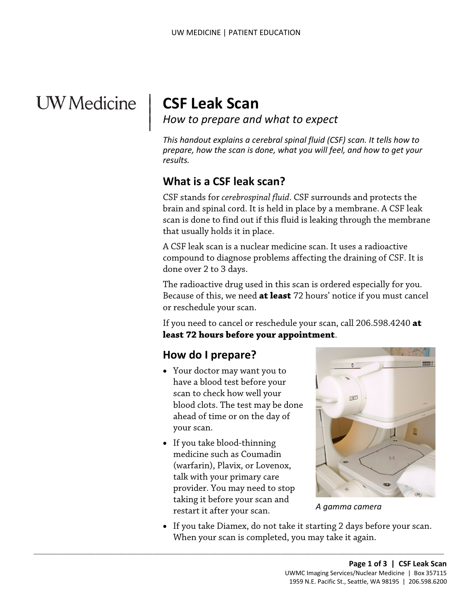# **UW** Medicine

 $\overline{\phantom{a}}$ 

<sup>|</sup>**CSF Leak Scan** | *How to prepare and what to expect* <sup>|</sup>

 *results. This handout explains a cerebral spinal fluid (CSF) scan. It tells how to prepare, how the scan is done, what you will feel, and how to get your* 

# **What is a CSF leak scan?**

CSF stands for *cerebrospinal fluid*. CSF surrounds and protects the brain and spinal cord. It is held in place by a membrane. A CSF leak scan is done to find out if this fluid is leaking through the membrane that usually holds it in place.

brain and spinal cord. It is held in place by a membrane. A CSF I<br>scan is done to find out if this fluid is leaking through the meml<br>that usually holds it in place.<br>A CSF leak scan is a nuclear medicine scan. It uses a rad A CSF leak scan is a nuclear medicine scan. It uses a radioactive compound to diagnose problems affecting the draining of CSF. It is done over 2 to 3 days.

The radioactive drug used in this scan is ordered especially for you. Because of this, we need **at least** 72 hours' notice if you must cancel or reschedule your scan.

If you need to cancel or reschedule your scan, call 206.598.4240 **at least 72 hours before your appointment**.

# **How do I prepare?**

- scan to check how well your ahead of time or on the day of • Your doctor may want you to have a blood test before your blood clots. The test may be done your scan.
- talk with your primary care • If you take blood-thinning medicine such as Coumadin (warfarin), Plavix, or Lovenox, provider. You may need to stop taking it before your scan and restart it after your scan.

 $\_$  ,  $\_$  ,  $\_$  ,  $\_$  ,  $\_$  ,  $\_$  ,  $\_$  ,  $\_$  ,  $\_$  ,  $\_$  ,  $\_$  ,  $\_$  ,  $\_$  ,  $\_$  ,  $\_$  ,  $\_$  ,  $\_$  ,  $\_$  ,  $\_$  ,  $\_$  ,  $\_$  ,  $\_$  ,  $\_$  ,  $\_$  ,  $\_$  ,  $\_$  ,  $\_$  ,  $\_$  ,  $\_$  ,  $\_$  ,  $\_$  ,  $\_$  ,  $\_$  ,  $\_$  ,  $\_$  ,  $\_$  ,  $\_$  ,



*A gamma camera* 

 • If you take Diamex, do not take it starting 2 days before your scan. When your scan is completed, you may take it again.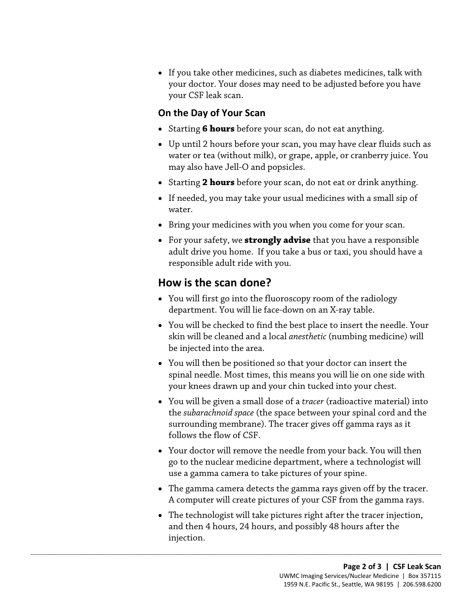• If you take other medicines, such as diabetes medicines, talk with your doctor. Your doses may need to be adjusted before you have your CSF leak scan.

### **On the Day of Your Scan**

- Starting **6 hours** before your scan, do not eat anything.
- water or tea (without milk), or grape, apple, or cranberry juice. You may also have Jell-O and popsicles. • Up until 2 hours before your scan, you may have clear fluids such as
- Starting **2 hours** before your scan, do not eat or drink anything.
- If needed, you may take your usual medicines with a small sip of water.
- Bring your medicines with you when you come for your scan.
- responsible adult ride with you. • Bring your medicines with you when you come for your scan.<br>• For your safety, we **strongly advise** that you have a responsible adult drive you home. If you take a bus or taxi, you should have responsible adult ride with • For your safety, we **strongly advise** that you have a responsible adult drive you home. If you take a bus or taxi, you should have a

# **How is the scan done?**

- You will first go into the fluoroscopy room of the radiology department. You will lie face-down on an X-ray table.
- You will be checked to find the best place to insert the needle. Your skin will be cleaned and a local *anesthetic* (numbing medicine) will be injected into the area.
- You will then be positioned so that your doctor can insert the spinal needle. Most times, this means you will lie on one side with your knees drawn up and your chin tucked into your chest.
- the *subarachnoid space* (the space between your spinal cord and the • You will be given a small dose of a *tracer* (radioactive material) into surrounding membrane). The tracer gives off gamma rays as it follows the flow of CSF.
- go to the nuclear medicine department, where a technologist will • Your doctor will remove the needle from your back. You will then use a gamma camera to take pictures of your spine.
- The gamma camera detects the gamma rays given off by the tracer. A computer will create pictures of your CSF from the gamma rays.
- • The technologist will take pictures right after the tracer injection, and then 4 hours, 24 hours, and possibly 48 hours after the injection.

 $\_$  ,  $\_$  ,  $\_$  ,  $\_$  ,  $\_$  ,  $\_$  ,  $\_$  ,  $\_$  ,  $\_$  ,  $\_$  ,  $\_$  ,  $\_$  ,  $\_$  ,  $\_$  ,  $\_$  ,  $\_$  ,  $\_$  ,  $\_$  ,  $\_$  ,  $\_$  ,  $\_$  ,  $\_$  ,  $\_$  ,  $\_$  ,  $\_$  ,  $\_$  ,  $\_$  ,  $\_$  ,  $\_$  ,  $\_$  ,  $\_$  ,  $\_$  ,  $\_$  ,  $\_$  ,  $\_$  ,  $\_$  ,  $\_$  ,